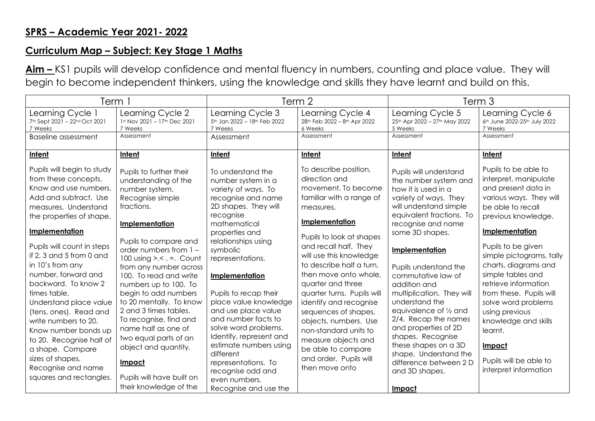## **Curriculum Map – Subject: Key Stage 1 Maths**

**Aim –** KS1 pupils will develop confidence and mental fluency in numbers, counting and place value. They will begin to become independent thinkers, using the knowledge and skills they have learnt and build on this.

| Term 1                                                                                                                                                                                                                                                                                                                                                                                                                                                                                                                                                 |                                                                                                                                                                                                                                                                                                                                                                                                                                                                                                                                               | Term 2                                                                                                                                                                                                                                                                                                                                                                                                                                                                                                               |                                                                                                                                                                                                                                                                                                                                                                                                                                                                                                                      | Term <sub>3</sub>                                                                                                                                                                                                                                                                                                                                                                                                                                                                                                                    |                                                                                                                                                                                                                                                                                                                                                                                                                                                          |
|--------------------------------------------------------------------------------------------------------------------------------------------------------------------------------------------------------------------------------------------------------------------------------------------------------------------------------------------------------------------------------------------------------------------------------------------------------------------------------------------------------------------------------------------------------|-----------------------------------------------------------------------------------------------------------------------------------------------------------------------------------------------------------------------------------------------------------------------------------------------------------------------------------------------------------------------------------------------------------------------------------------------------------------------------------------------------------------------------------------------|----------------------------------------------------------------------------------------------------------------------------------------------------------------------------------------------------------------------------------------------------------------------------------------------------------------------------------------------------------------------------------------------------------------------------------------------------------------------------------------------------------------------|----------------------------------------------------------------------------------------------------------------------------------------------------------------------------------------------------------------------------------------------------------------------------------------------------------------------------------------------------------------------------------------------------------------------------------------------------------------------------------------------------------------------|--------------------------------------------------------------------------------------------------------------------------------------------------------------------------------------------------------------------------------------------------------------------------------------------------------------------------------------------------------------------------------------------------------------------------------------------------------------------------------------------------------------------------------------|----------------------------------------------------------------------------------------------------------------------------------------------------------------------------------------------------------------------------------------------------------------------------------------------------------------------------------------------------------------------------------------------------------------------------------------------------------|
| Learning Cycle 1<br>7th Sept 2021 - 22nd Oct 2021<br>7 Weeks                                                                                                                                                                                                                                                                                                                                                                                                                                                                                           | Learning Cycle 2<br>1st Nov 2021 - 17th Dec 2021<br>7 Weeks                                                                                                                                                                                                                                                                                                                                                                                                                                                                                   | Learning Cycle 3<br>5th Jan 2022 - 18th Feb 2022<br>7 Weeks                                                                                                                                                                                                                                                                                                                                                                                                                                                          | Learning Cycle 4<br>28th Feb 2022 - 8th Apr 2022<br>6 Weeks                                                                                                                                                                                                                                                                                                                                                                                                                                                          | Learning Cycle 5<br>25th Apr 2022 - 27th May 2022<br>5 Weeks                                                                                                                                                                                                                                                                                                                                                                                                                                                                         | Learning Cycle 6<br>6th June 2022-25th July 2022<br>7 Weeks                                                                                                                                                                                                                                                                                                                                                                                              |
| Baseline assessment                                                                                                                                                                                                                                                                                                                                                                                                                                                                                                                                    | Assessment                                                                                                                                                                                                                                                                                                                                                                                                                                                                                                                                    | Assessment                                                                                                                                                                                                                                                                                                                                                                                                                                                                                                           | Assessment                                                                                                                                                                                                                                                                                                                                                                                                                                                                                                           | Assessment                                                                                                                                                                                                                                                                                                                                                                                                                                                                                                                           | Assessment                                                                                                                                                                                                                                                                                                                                                                                                                                               |
| Intent                                                                                                                                                                                                                                                                                                                                                                                                                                                                                                                                                 | Intent                                                                                                                                                                                                                                                                                                                                                                                                                                                                                                                                        | Intent                                                                                                                                                                                                                                                                                                                                                                                                                                                                                                               | Intent                                                                                                                                                                                                                                                                                                                                                                                                                                                                                                               | Intent                                                                                                                                                                                                                                                                                                                                                                                                                                                                                                                               | Intent                                                                                                                                                                                                                                                                                                                                                                                                                                                   |
| Pupils will begin to study<br>from these concepts.<br>Know and use numbers.<br>Add and subtract. Use<br>measures. Understand<br>the properties of shape.<br><b>Implementation</b><br>Pupils will count in steps<br>if 2, 3 and 5 from 0 and<br>in 10's from any<br>number, forward and<br>backward. To know 2<br>times table.<br>Understand place value<br>(tens, ones). Read and<br>write numbers to 20.<br>Know number bonds up<br>to 20. Recognise half of<br>a shape. Compare<br>sizes of shapes.<br>Recognise and name<br>squares and rectangles. | Pupils to further their<br>understanding of the<br>number system.<br>Recognise simple<br>fractions.<br>Implementation<br>Pupils to compare and<br>order numbers from 1-<br>100 using $\geq, \leq, \equiv$ . Count<br>from any number across<br>100. To read and write<br>numbers up to 100. To<br>begin to add numbers<br>to 20 mentally. To know<br>2 and 3 times tables.<br>To recognise, find and<br>name half as one of<br>two equal parts of an<br>object and quantity.<br>Impact<br>Pupils will have built on<br>their knowledge of the | To understand the<br>number system in a<br>variety of ways. To<br>recognise and name<br>2D shapes. They will<br>recognise<br>mathematical<br>properties and<br>relationships using<br>symbolic<br>representations.<br>Implementation<br>Pupils to recap their<br>place value knowledge<br>and use place value<br>and number facts to<br>solve word problems.<br>Identify, represent and<br>estimate numbers using<br>different<br>representations. To<br>recognise odd and<br>even numbers.<br>Recognise and use the | To describe position,<br>direction and<br>movement. To become<br>familiar with a range of<br>measures.<br><b>Implementation</b><br>Pupils to look at shapes<br>and recall half. They<br>will use this knowledge<br>to describe half a turn,<br>then move onto whole,<br>quarter and three<br>quarter turns. Pupils will<br>identify and recognise<br>sequences of shapes,<br>objects, numbers. Use<br>non-standard units to<br>measure objects and<br>be able to compare<br>and order. Pupils will<br>then move onto | Pupils will understand<br>the number system and<br>how it is used in a<br>variety of ways. They<br>will understand simple<br>equivalent fractions. To<br>recognise and name<br>some 3D shapes.<br>Implementation<br>Pupils understand the<br>commutative law of<br>addition and<br>multiplication. They will<br>understand the<br>equivalence of 1/2 and<br>2/4. Recap the names<br>and properties of 2D<br>shapes. Recognise<br>these shapes on a 3D<br>shape. Understand the<br>difference between 2 D<br>and 3D shapes.<br>Impact | Pupils to be able to<br>interpret, manipulate<br>and present data in<br>various ways. They will<br>be able to recall<br>previous knowledge.<br>Implementation<br>Pupils to be given<br>simple pictograms, tally<br>charts, diagrams and<br>simple tables and<br>retrieve information<br>from these. Pupils will<br>solve word problems<br>using previous<br>knowledge and skills<br>learnt.<br>Impact<br>Pupils will be able to<br>interpret information |